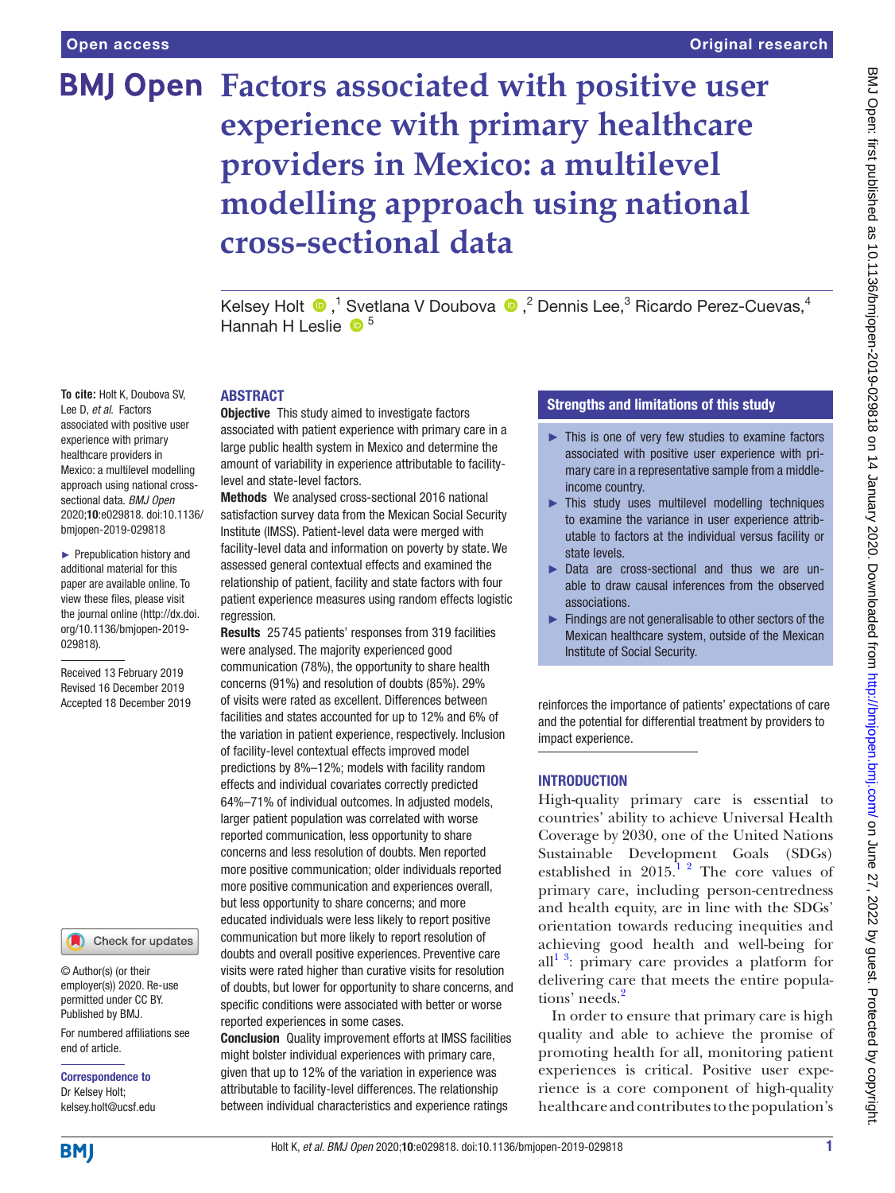**To cite:** Holt K, Doubova SV, Lee D, *et al*. Factors associated with positive user experience with primary healthcare providers in Mexico: a multilevel modelling approach using national crosssectional data. *BMJ Open* 2020;10:e029818. doi:10.1136/ bmjopen-2019-029818 ► Prepublication history and additional material for this paper are available online. To view these files, please visit the journal online (http://dx.doi. org/10.1136/bmjopen-2019-

029818).

Received 13 February 2019 Revised 16 December 2019 Accepted 18 December 2019

# **BMJ Open Factors associated with positive user experience with primary healthcare providers in Mexico: a multilevel modelling approach using national cross-sectional data**

KelseyHolt  $\bigcirc$ ,<sup>1</sup> Svetlana V Doubova  $\bigcirc$ ,<sup>2</sup> Dennis Lee,<sup>3</sup> Ricardo Perez-Cuevas,<sup>4</sup> Hannah H Leslie  $\bigoplus$ <sup>5</sup>

#### **ABSTRACT**

**Objective** This study aimed to investigate factors associated with patient experience with primary care in a large public health system in Mexico and determine the amount of variability in experience attributable to facilitylevel and state-level factors.

Methods We analysed cross-sectional 2016 national satisfaction survey data from the Mexican Social Security Institute (IMSS). Patient-level data were merged with facility-level data and information on poverty by state. We assessed general contextual effects and examined the relationship of patient, facility and state factors with four patient experience measures using random effects logistic regression

Results 25 745 patients' responses from 319 facilities were analysed. The majority experienced good communication (78%), the opportunity to share health concerns (91%) and resolution of doubts (85%). 29% of visits were rated as excellent. Differences between facilities and states accounted for up to 12% and 6% of the variation in patient experience, respectively. Inclusion of facility-level contextual effects improved model predictions by 8%–12%; models with facility random effects and individual covariates correctly predicted 64%–71% of individual outcomes. In adjusted models, larger patient population was correlated with worse reported communication, less opportunity to share concerns and less resolution of doubts. Men reported more positive communication; older individuals reported more positive communication and experiences overall, but less opportunity to share concerns; and more educated individuals were less likely to report positive communication but more likely to report resolution of doubts and overall positive experiences. Preventive care visits were rated higher than curative visits for resolution of doubts, but lower for opportunity to share concerns, and specific conditions were associated with better or worse reported experiences in some cases.

Conclusion Quality improvement efforts at IMSS facilities might bolster individual experiences with primary care, given that up to 12% of the variation in experience was attributable to facility-level differences. The relationship between individual characteristics and experience ratings

# Strengths and limitations of this study

- ► This is one of very few studies to examine factors associated with positive user experience with primary care in a representative sample from a middleincome country.
- ► This study uses multilevel modelling techniques to examine the variance in user experience attributable to factors at the individual versus facility or state levels.
- ► Data are cross-sectional and thus we are unable to draw causal inferences from the observed associations.
- ► Findings are not generalisable to other sectors of the Mexican healthcare system, outside of the Mexican Institute of Social Security.

reinforces the importance of patients' expectations of care and the potential for differential treatment by providers to impact experience.

## **INTRODUCTION**

High-quality primary care is essential to countries' ability to achieve Universal Health Coverage by 2030, one of the United Nations Sustainable Development Goals (SDGs) established in 2015.<sup>1</sup> <sup>2</sup> The core values of primary care, including person-centredness and health equity, are in line with the SDGs' orientation towards reducing inequities and achieving good health and well-being for  $all<sup>13</sup>$ : primary care provides a platform for delivering care that meets the entire populations' needs.<sup>2</sup>

In order to ensure that primary care is high quality and able to achieve the promise of promoting health for all, monitoring patient experiences is critical. Positive user experience is a core component of high-quality healthcare and contributes to the population's

end of article.

© Author(s) (or their employer(s)) 2020. Re-use permitted under CC BY. Published by BMJ.

Correspondence to Dr Kelsey Holt; kelsey.holt@ucsf.edu

For numbered affiliations see

Check for updates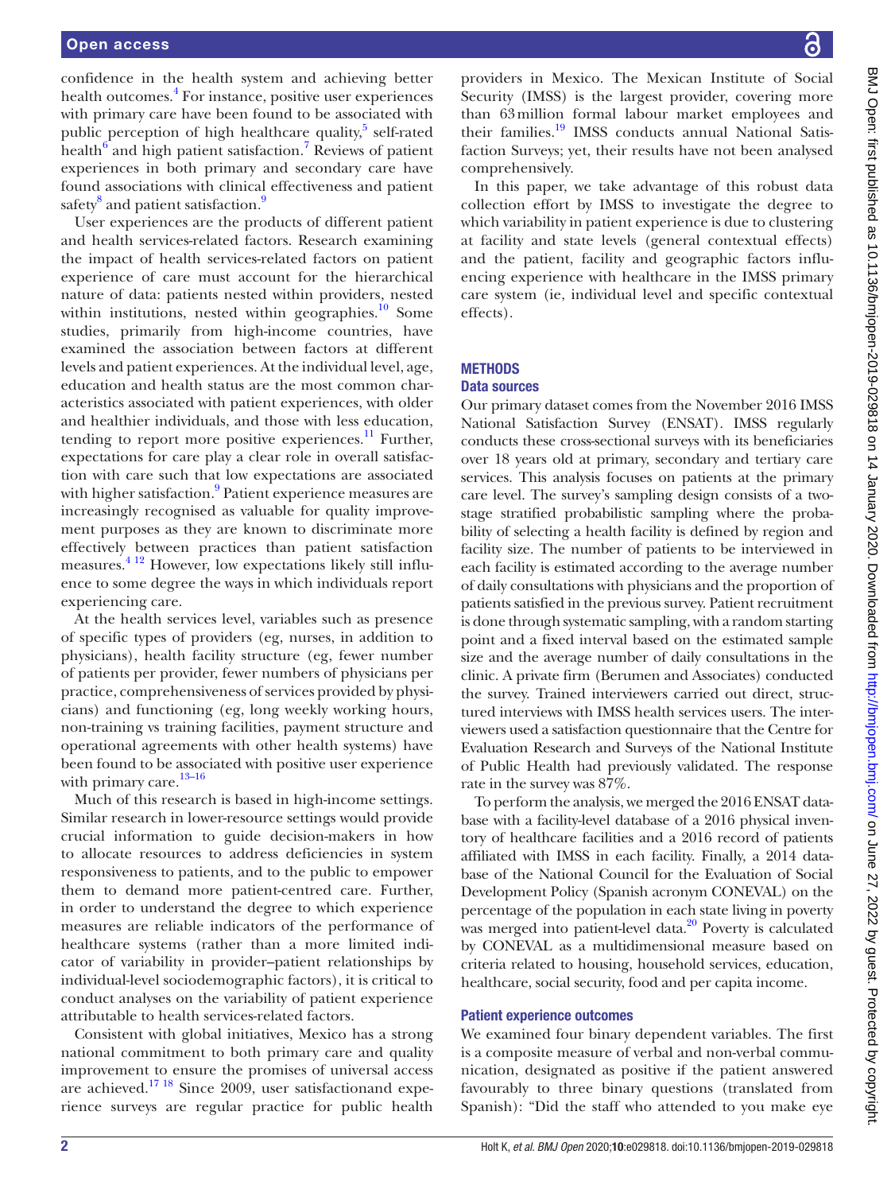confidence in the health system and achieving better health outcomes.<sup>4</sup> For instance, positive user experiences with primary care have been found to be associated with public perception of high healthcare quality,<sup>5</sup> self-rated health<sup>6</sup> and high patient satisfaction.<sup>[7](#page-9-5)</sup> Reviews of patient experiences in both primary and secondary care have found associations with clinical effectiveness and patient safety $^8$  $^8$  and patient satisfaction. $^9$  $^9$ 

User experiences are the products of different patient and health services-related factors. Research examining the impact of health services-related factors on patient experience of care must account for the hierarchical nature of data: patients nested within providers, nested within institutions, nested within geographies. $10$  Some studies, primarily from high-income countries, have examined the association between factors at different levels and patient experiences. At the individual level, age, education and health status are the most common characteristics associated with patient experiences, with older and healthier individuals, and those with less education, tending to report more positive experiences. $^{11}$  Further, expectations for care play a clear role in overall satisfaction with care such that low expectations are associated with higher satisfaction.<sup>[9](#page-9-7)</sup> Patient experience measures are increasingly recognised as valuable for quality improvement purposes as they are known to discriminate more effectively between practices than patient satisfaction measures.[4 12](#page-9-2) However, low expectations likely still influence to some degree the ways in which individuals report experiencing care.

At the health services level, variables such as presence of specific types of providers (eg, nurses, in addition to physicians), health facility structure (eg, fewer number of patients per provider, fewer numbers of physicians per practice, comprehensiveness of services provided by physicians) and functioning (eg, long weekly working hours, non-training vs training facilities, payment structure and operational agreements with other health systems) have been found to be associated with positive user experience with primary care.<sup>13-16</sup>

Much of this research is based in high-income settings. Similar research in lower-resource settings would provide crucial information to guide decision-makers in how to allocate resources to address deficiencies in system responsiveness to patients, and to the public to empower them to demand more patient-centred care. Further, in order to understand the degree to which experience measures are reliable indicators of the performance of healthcare systems (rather than a more limited indicator of variability in provider–patient relationships by individual-level sociodemographic factors), it is critical to conduct analyses on the variability of patient experience attributable to health services-related factors.

Consistent with global initiatives, Mexico has a strong national commitment to both primary care and quality improvement to ensure the promises of universal access are achieved.[17 18](#page-9-11) Since 2009, user satisfactionand experience surveys are regular practice for public health

providers in Mexico. The Mexican Institute of Social Security (IMSS) is the largest provider, covering more than 63million formal labour market employees and their families.<sup>19</sup> IMSS conducts annual National Satisfaction Surveys; yet, their results have not been analysed comprehensively.

In this paper, we take advantage of this robust data collection effort by IMSS to investigate the degree to which variability in patient experience is due to clustering at facility and state levels (general contextual effects) and the patient, facility and geographic factors influencing experience with healthcare in the IMSS primary care system (ie, individual level and specific contextual effects).

## **METHODS**

## Data sources

Our primary dataset comes from the November 2016 IMSS National Satisfaction Survey (ENSAT). IMSS regularly conducts these cross-sectional surveys with its beneficiaries over 18 years old at primary, secondary and tertiary care services. This analysis focuses on patients at the primary care level. The survey's sampling design consists of a twostage stratified probabilistic sampling where the probability of selecting a health facility is defined by region and facility size. The number of patients to be interviewed in each facility is estimated according to the average number of daily consultations with physicians and the proportion of patients satisfied in the previous survey. Patient recruitment is done through systematic sampling, with a random starting point and a fixed interval based on the estimated sample size and the average number of daily consultations in the clinic. A private firm (Berumen and Associates) conducted the survey. Trained interviewers carried out direct, structured interviews with IMSS health services users. The interviewers used a satisfaction questionnaire that the Centre for Evaluation Research and Surveys of the National Institute of Public Health had previously validated. The response rate in the survey was 87%.

To perform the analysis, we merged the 2016 ENSAT database with a facility-level database of a 2016 physical inventory of healthcare facilities and a 2016 record of patients affiliated with IMSS in each facility. Finally, a 2014 database of the National Council for the Evaluation of Social Development Policy (Spanish acronym CONEVAL) on the percentage of the population in each state living in poverty was merged into patient-level data.<sup>20</sup> Poverty is calculated by CONEVAL as a multidimensional measure based on criteria related to housing, household services, education, healthcare, social security, food and per capita income.

## Patient experience outcomes

We examined four binary dependent variables. The first is a composite measure of verbal and non-verbal communication, designated as positive if the patient answered favourably to three binary questions (translated from Spanish): "Did the staff who attended to you make eye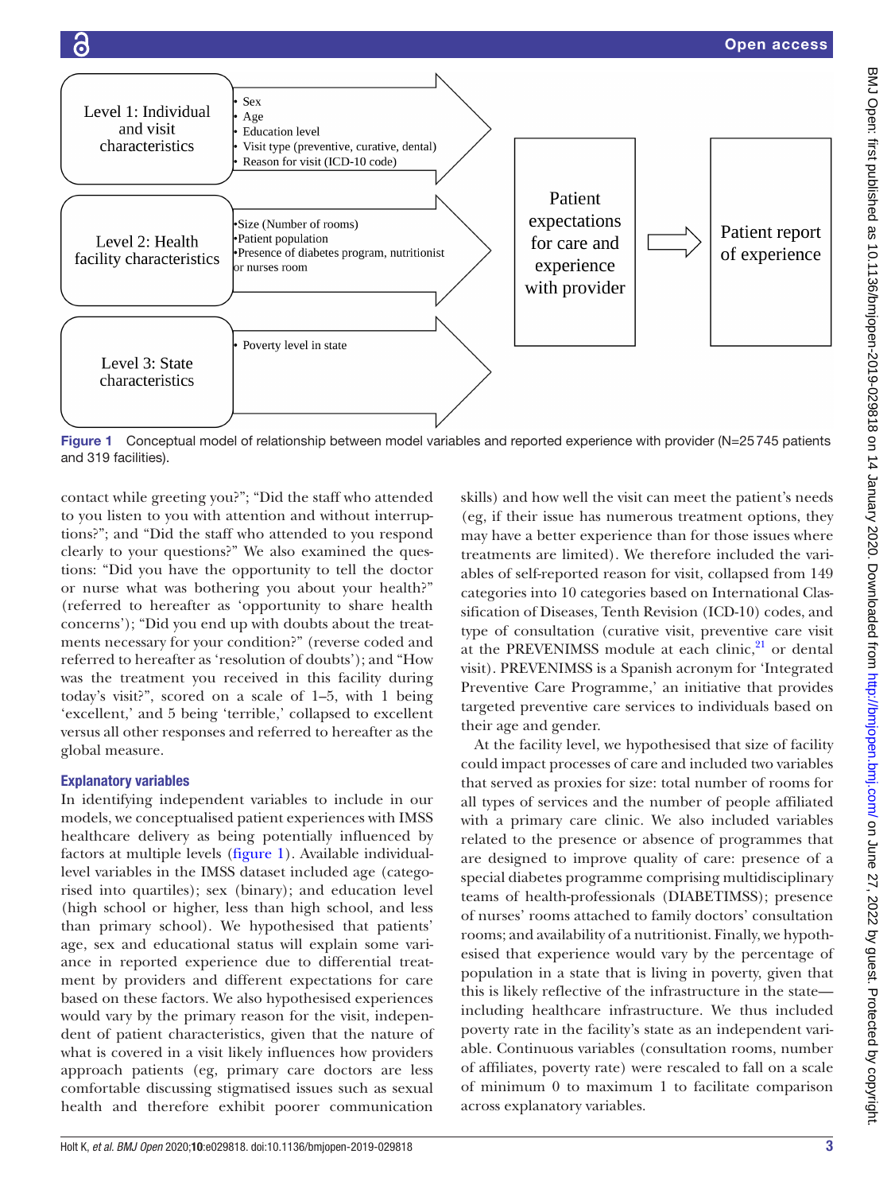

<span id="page-2-0"></span>contact while greeting you?"; "Did the staff who attended to you listen to you with attention and without interruptions?"; and "Did the staff who attended to you respond clearly to your questions?" We also examined the questions: "Did you have the opportunity to tell the doctor or nurse what was bothering you about your health?" (referred to hereafter as 'opportunity to share health concerns'); "Did you end up with doubts about the treatments necessary for your condition?" (reverse coded and referred to hereafter as 'resolution of doubts'); and "How was the treatment you received in this facility during today's visit?", scored on a scale of 1–5, with 1 being 'excellent,' and 5 being 'terrible,' collapsed to excellent versus all other responses and referred to hereafter as the global measure.

# Explanatory variables

In identifying independent variables to include in our models, we conceptualised patient experiences with IMSS healthcare delivery as being potentially influenced by factors at multiple levels [\(figure](#page-2-0) 1). Available individuallevel variables in the IMSS dataset included age (categorised into quartiles); sex (binary); and education level (high school or higher, less than high school, and less than primary school). We hypothesised that patients' age, sex and educational status will explain some variance in reported experience due to differential treatment by providers and different expectations for care based on these factors. We also hypothesised experiences would vary by the primary reason for the visit, independent of patient characteristics, given that the nature of what is covered in a visit likely influences how providers approach patients (eg, primary care doctors are less comfortable discussing stigmatised issues such as sexual health and therefore exhibit poorer communication

skills) and how well the visit can meet the patient's needs (eg, if their issue has numerous treatment options, they may have a better experience than for those issues where treatments are limited). We therefore included the variables of self-reported reason for visit, collapsed from 149 categories into 10 categories based on International Classification of Diseases, Tenth Revision (ICD-10) codes, and type of consultation (curative visit, preventive care visit at the PREVENIMSS module at each clinic, $^{21}$  or dental visit). PREVENIMSS is a Spanish acronym for 'Integrated Preventive Care Programme,' an initiative that provides targeted preventive care services to individuals based on their age and gender.

At the facility level, we hypothesised that size of facility could impact processes of care and included two variables that served as proxies for size: total number of rooms for all types of services and the number of people affiliated with a primary care clinic. We also included variables related to the presence or absence of programmes that are designed to improve quality of care: presence of a special diabetes programme comprising multidisciplinary teams of health-professionals (DIABETIMSS); presence of nurses' rooms attached to family doctors' consultation rooms; and availability of a nutritionist. Finally, we hypothesised that experience would vary by the percentage of population in a state that is living in poverty, given that this is likely reflective of the infrastructure in the state including healthcare infrastructure. We thus included poverty rate in the facility's state as an independent variable. Continuous variables (consultation rooms, number of affiliates, poverty rate) were rescaled to fall on a scale of minimum 0 to maximum 1 to facilitate comparison across explanatory variables.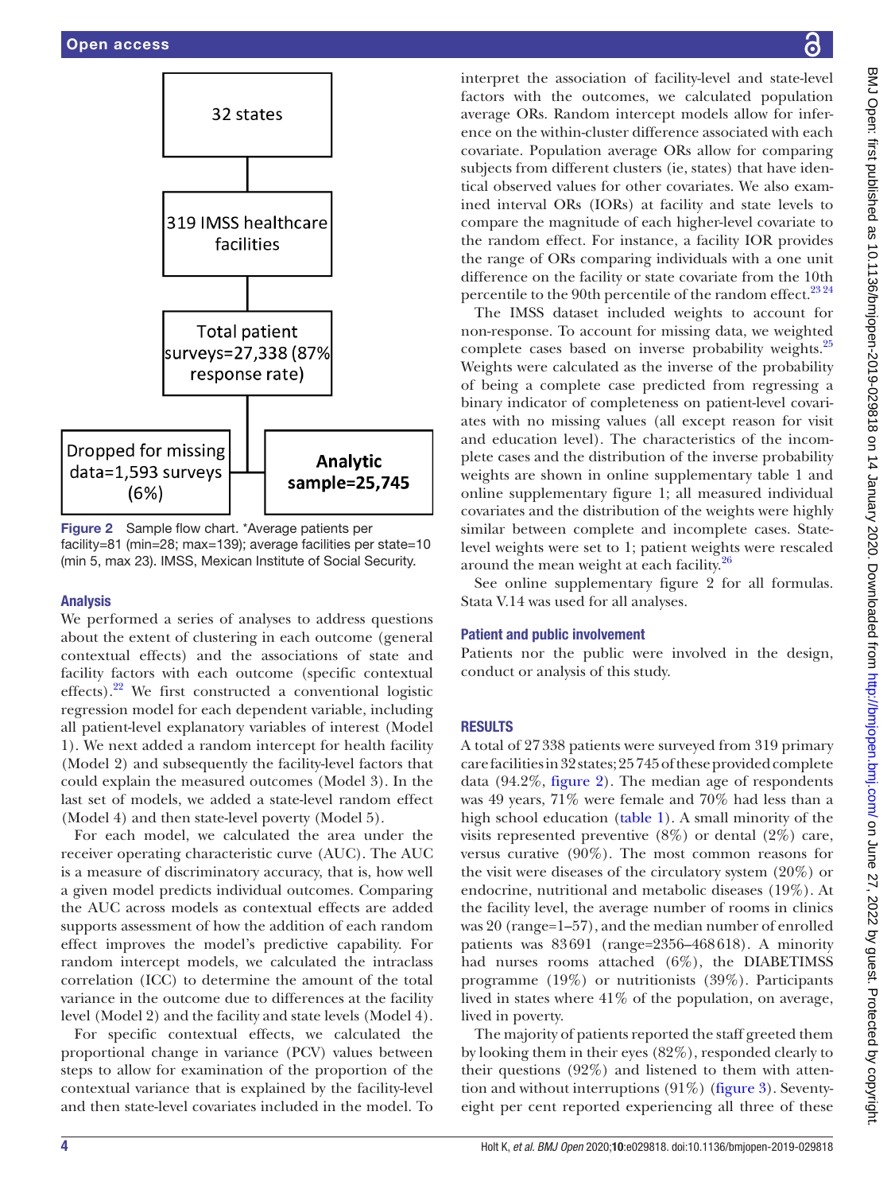

<span id="page-3-0"></span>Figure 2 Sample flow chart. \*Average patients per facility=81 (min=28; max=139); average facilities per state=10 (min 5, max 23). IMSS, Mexican Institute of Social Security.

## Analysis

We performed a series of analyses to address questions about the extent of clustering in each outcome (general contextual effects) and the associations of state and facility factors with each outcome (specific contextual effects)[.22](#page-9-15) We first constructed a conventional logistic regression model for each dependent variable, including all patient-level explanatory variables of interest (Model 1). We next added a random intercept for health facility (Model 2) and subsequently the facility-level factors that could explain the measured outcomes (Model 3). In the last set of models, we added a state-level random effect (Model 4) and then state-level poverty (Model 5).

For each model, we calculated the area under the receiver operating characteristic curve (AUC). The AUC is a measure of discriminatory accuracy, that is, how well a given model predicts individual outcomes. Comparing the AUC across models as contextual effects are added supports assessment of how the addition of each random effect improves the model's predictive capability. For random intercept models, we calculated the intraclass correlation (ICC) to determine the amount of the total variance in the outcome due to differences at the facility level (Model 2) and the facility and state levels (Model 4).

For specific contextual effects, we calculated the proportional change in variance (PCV) values between steps to allow for examination of the proportion of the contextual variance that is explained by the facility-level and then state-level covariates included in the model. To

interpret the association of facility-level and state-level factors with the outcomes, we calculated population average ORs. Random intercept models allow for inference on the within-cluster difference associated with each covariate. Population average ORs allow for comparing subjects from different clusters (ie, states) that have identical observed values for other covariates. We also examined interval ORs (IORs) at facility and state levels to compare the magnitude of each higher-level covariate to the random effect. For instance, a facility IOR provides the range of ORs comparing individuals with a one unit difference on the facility or state covariate from the 10th percentile to the 90th percentile of the random effect. $^{23\,24}$ 

The IMSS dataset included weights to account for non-response. To account for missing data, we weighted complete cases based on inverse probability weights.<sup>[25](#page-9-17)</sup> Weights were calculated as the inverse of the probability of being a complete case predicted from regressing a binary indicator of completeness on patient-level covariates with no missing values (all except reason for visit and education level). The characteristics of the incomplete cases and the distribution of the inverse probability weights are shown in [online supplementary table 1](https://dx.doi.org/10.1136/bmjopen-2019-029818) and [online supplementary figure 1](https://dx.doi.org/10.1136/bmjopen-2019-029818); all measured individual covariates and the distribution of the weights were highly similar between complete and incomplete cases. Statelevel weights were set to 1; patient weights were rescaled around the mean weight at each facility.<sup>[26](#page-9-18)</sup>

See [online supplementary figure 2](https://dx.doi.org/10.1136/bmjopen-2019-029818) for all formulas. Stata V.14 was used for all analyses.

## Patient and public involvement

Patients nor the public were involved in the design, conduct or analysis of this study.

# **RESULTS**

A total of 27338 patients were surveyed from 319 primary care facilities in 32 states; 25745 of these provided complete data (94.2%, [figure](#page-3-0) 2). The median age of respondents was 49 years, 71% were female and 70% had less than a high school education ([table](#page-4-0) 1). A small minority of the visits represented preventive  $(8\%)$  or dental  $(2\%)$  care, versus curative (90%). The most common reasons for the visit were diseases of the circulatory system (20%) or endocrine, nutritional and metabolic diseases (19%). At the facility level, the average number of rooms in clinics was 20 (range=1–57), and the median number of enrolled patients was 83691 (range=2356–468618). A minority had nurses rooms attached (6%), the DIABETIMSS programme (19%) or nutritionists (39%). Participants lived in states where 41% of the population, on average, lived in poverty.

The majority of patients reported the staff greeted them by looking them in their eyes (82%), responded clearly to their questions (92%) and listened to them with attention and without interruptions  $(91\%)$  ([figure](#page-5-0) 3). Seventyeight per cent reported experiencing all three of these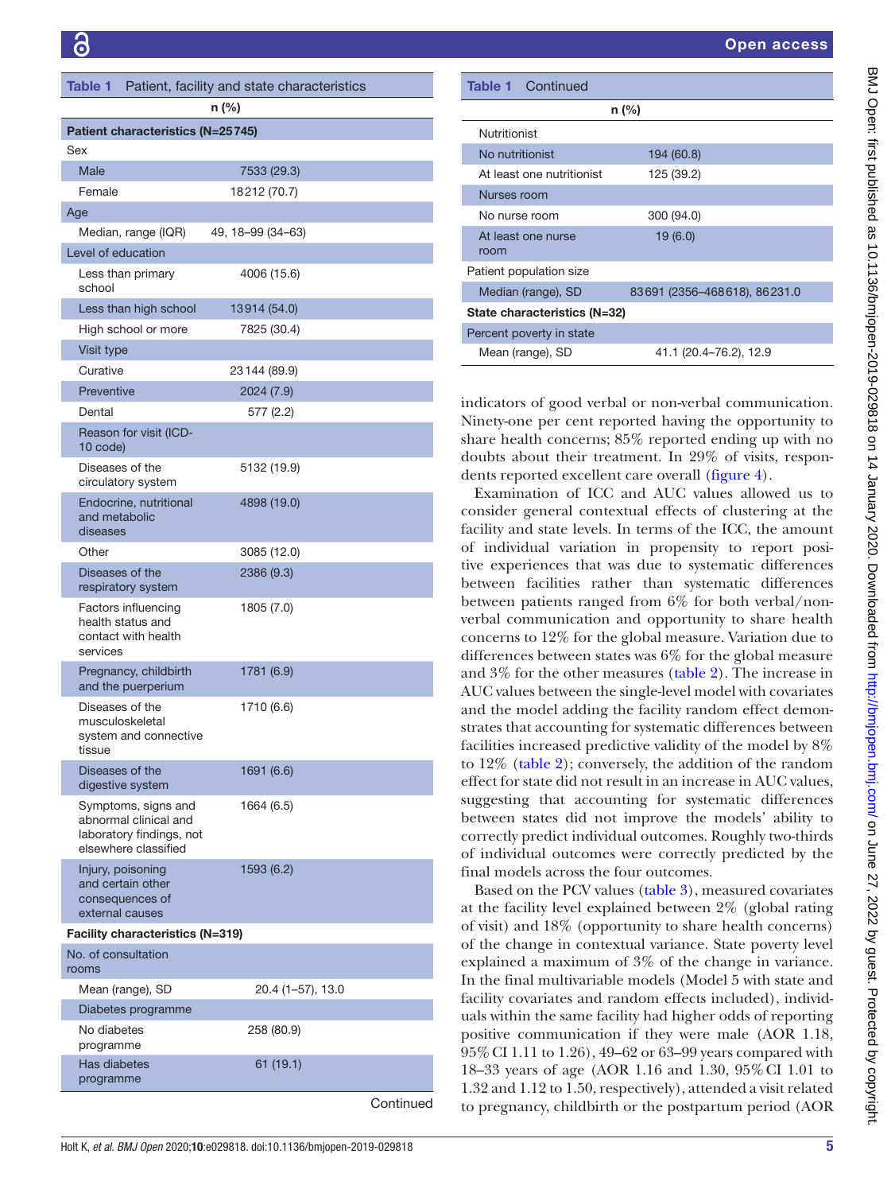<span id="page-4-0"></span>

| Table 1 Patient, facility and state characteristics                                              |                   |                |  |  |
|--------------------------------------------------------------------------------------------------|-------------------|----------------|--|--|
| n (%)                                                                                            |                   |                |  |  |
| Patient characteristics (N=25745)                                                                |                   |                |  |  |
| Sex                                                                                              |                   |                |  |  |
| Male                                                                                             | 7533 (29.3)       |                |  |  |
| Female                                                                                           | 18212 (70.7)      |                |  |  |
| Age                                                                                              |                   |                |  |  |
| Median, range (IQR)                                                                              | 49, 18–99 (34–63) |                |  |  |
| Level of education                                                                               |                   |                |  |  |
| Less than primary<br>school                                                                      | 4006 (15.6)       |                |  |  |
| Less than high school                                                                            | 13914 (54.0)      |                |  |  |
| High school or more                                                                              | 7825 (30.4)       |                |  |  |
| Visit type                                                                                       |                   |                |  |  |
| Curative                                                                                         | 23144 (89.9)      |                |  |  |
| Preventive                                                                                       | 2024 (7.9)        |                |  |  |
| Dental                                                                                           | 577 (2.2)         |                |  |  |
| Reason for visit (ICD-<br>10 code)                                                               |                   |                |  |  |
| Diseases of the<br>circulatory system                                                            | 5132 (19.9)       |                |  |  |
| Endocrine, nutritional<br>and metabolic<br>diseases                                              | 4898 (19.0)       |                |  |  |
| Other                                                                                            | 3085 (12.0)       |                |  |  |
| Diseases of the<br>respiratory system                                                            | 2386 (9.3)        |                |  |  |
| Factors influencing<br>health status and<br>contact with health<br>services                      | 1805 (7.0)        |                |  |  |
| Pregnancy, childbirth<br>and the puerperium                                                      | 1781 (6.9)        |                |  |  |
| Diseases of the<br>musculoskeletal<br>system and connective<br>tissue                            | 1710 (6.6)        |                |  |  |
| Diseases of the<br>digestive system                                                              | 1691 (6.6)        |                |  |  |
| Symptoms, signs and<br>abnormal clinical and<br>laboratory findings, not<br>elsewhere classified | 1664 (6.5)        |                |  |  |
| Injury, poisoning<br>and certain other<br>consequences of<br>external causes                     | 1593 (6.2)        |                |  |  |
| Facility characteristics (N=319)                                                                 |                   |                |  |  |
| No. of consultation<br>rooms                                                                     |                   |                |  |  |
| Mean (range), SD                                                                                 | 20.4 (1-57), 13.0 |                |  |  |
| Diabetes programme                                                                               |                   |                |  |  |
| No diabetes<br>programme                                                                         | 258 (80.9)        |                |  |  |
| Has diabetes<br>programme                                                                        | 61(19.1)          |                |  |  |
|                                                                                                  |                   | $\sim$ ntinuod |  |  |

| <b>Table 1</b> Continued     |                              |  |  |  |
|------------------------------|------------------------------|--|--|--|
| $n$ (%)                      |                              |  |  |  |
| Nutritionist                 |                              |  |  |  |
| No nutritionist              | 194 (60.8)                   |  |  |  |
| At least one nutritionist    | 125 (39.2)                   |  |  |  |
| Nurses room                  |                              |  |  |  |
| No nurse room                | 300 (94.0)                   |  |  |  |
| At least one nurse<br>room   | 19(6.0)                      |  |  |  |
| Patient population size      |                              |  |  |  |
| Median (range), SD           | 83691 (2356-468618), 86231.0 |  |  |  |
| State characteristics (N=32) |                              |  |  |  |
| Percent poverty in state     |                              |  |  |  |
| Mean (range), SD             | 41.1 (20.4–76.2), 12.9       |  |  |  |
|                              |                              |  |  |  |

indicators of good verbal or non-verbal communication. Ninety-one per cent reported having the opportunity to share health concerns; 85% reported ending up with no doubts about their treatment. In 29% of visits, respondents reported excellent care overall [\(figure](#page-5-1) 4).

Examination of ICC and AUC values allowed us to consider general contextual effects of clustering at the facility and state levels. In terms of the ICC, the amount of individual variation in propensity to report positive experiences that was due to systematic differences between facilities rather than systematic differences between patients ranged from 6% for both verbal/nonverbal communication and opportunity to share health concerns to 12% for the global measure. Variation due to differences between states was 6% for the global measure and 3% for the other measures ([table](#page-6-0) 2). The increase in AUC values between the single-level model with covariates and the model adding the facility random effect demonstrates that accounting for systematic differences between facilities increased predictive validity of the model by 8% to 12% [\(table](#page-6-0) 2); conversely, the addition of the random effect for state did not result in an increase in AUC values, suggesting that accounting for systematic differences between states did not improve the models' ability to correctly predict individual outcomes. Roughly two-thirds of individual outcomes were correctly predicted by the final models across the four outcomes.

Based on the PCV values ([table](#page-7-0) 3), measured covariates at the facility level explained between 2% (global rating of visit) and 18% (opportunity to share health concerns) of the change in contextual variance. State poverty level explained a maximum of 3% of the change in variance. In the final multivariable models (Model 5 with state and facility covariates and random effects included), individuals within the same facility had higher odds of reporting positive communication if they were male (AOR 1.18, 95%CI 1.11 to 1.26), 49–62 or 63–99 years compared with 18–33 years of age (AOR 1.16 and 1.30, 95%CI 1.01 to 1.32 and 1.12 to 1.50, respectively), attended a visit related to pregnancy, childbirth or the postpartum period (AOR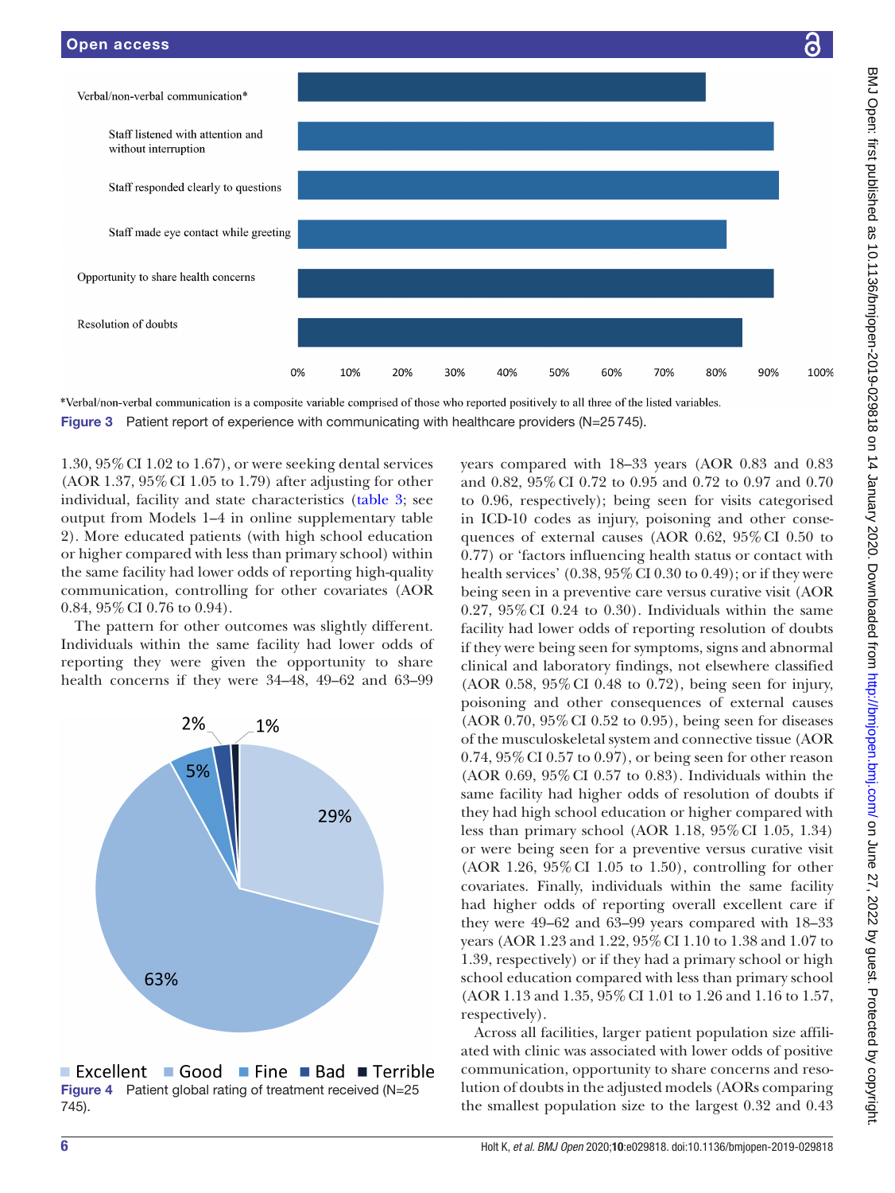

<span id="page-5-0"></span>\*Verbal/non-verbal communication is a composite variable comprised of those who reported positively to all three of the listed variables. Figure 3 Patient report of experience with communicating with healthcare providers (N=25745).

1.30, 95%CI 1.02 to 1.67), or were seeking dental services (AOR 1.37, 95%CI 1.05 to 1.79) after adjusting for other individual, facility and state characteristics ([table](#page-7-0) 3; see output from Models 1–4 in [online supplementary table](https://dx.doi.org/10.1136/bmjopen-2019-029818) [2\)](https://dx.doi.org/10.1136/bmjopen-2019-029818). More educated patients (with high school education or higher compared with less than primary school) within the same facility had lower odds of reporting high-quality communication, controlling for other covariates (AOR 0.84, 95% CI 0.76 to 0.94).

The pattern for other outcomes was slightly different. Individuals within the same facility had lower odds of reporting they were given the opportunity to share health concerns if they were 34–48, 49–62 and 63–99



<span id="page-5-1"></span>Figure 4 Patient global rating of treatment received (N=25 745).

years compared with 18–33 years (AOR 0.83 and 0.83 and 0.82, 95%CI 0.72 to 0.95 and 0.72 to 0.97 and 0.70 to 0.96, respectively); being seen for visits categorised in ICD-10 codes as injury, poisoning and other consequences of external causes (AOR 0.62, 95%CI 0.50 to 0.77) or 'factors influencing health status or contact with health services' (0.38, 95% CI 0.30 to 0.49); or if they were being seen in a preventive care versus curative visit (AOR 0.27, 95%CI 0.24 to 0.30). Individuals within the same facility had lower odds of reporting resolution of doubts if they were being seen for symptoms, signs and abnormal clinical and laboratory findings, not elsewhere classified (AOR 0.58, 95%CI 0.48 to 0.72), being seen for injury, poisoning and other consequences of external causes (AOR 0.70, 95%CI 0.52 to 0.95), being seen for diseases of the musculoskeletal system and connective tissue (AOR 0.74, 95%CI 0.57 to 0.97), or being seen for other reason (AOR 0.69, 95%CI 0.57 to 0.83). Individuals within the same facility had higher odds of resolution of doubts if they had high school education or higher compared with less than primary school (AOR 1.18, 95%CI 1.05, 1.34) or were being seen for a preventive versus curative visit (AOR 1.26, 95%CI 1.05 to 1.50), controlling for other covariates. Finally, individuals within the same facility had higher odds of reporting overall excellent care if they were 49–62 and 63–99 years compared with 18–33 years (AOR 1.23 and 1.22, 95%CI 1.10 to 1.38 and 1.07 to 1.39, respectively) or if they had a primary school or high school education compared with less than primary school (AOR 1.13 and 1.35, 95%CI 1.01 to 1.26 and 1.16 to 1.57, respectively).

Across all facilities, larger patient population size affiliated with clinic was associated with lower odds of positive communication, opportunity to share concerns and resolution of doubts in the adjusted models (AORs comparing the smallest population size to the largest 0.32 and 0.43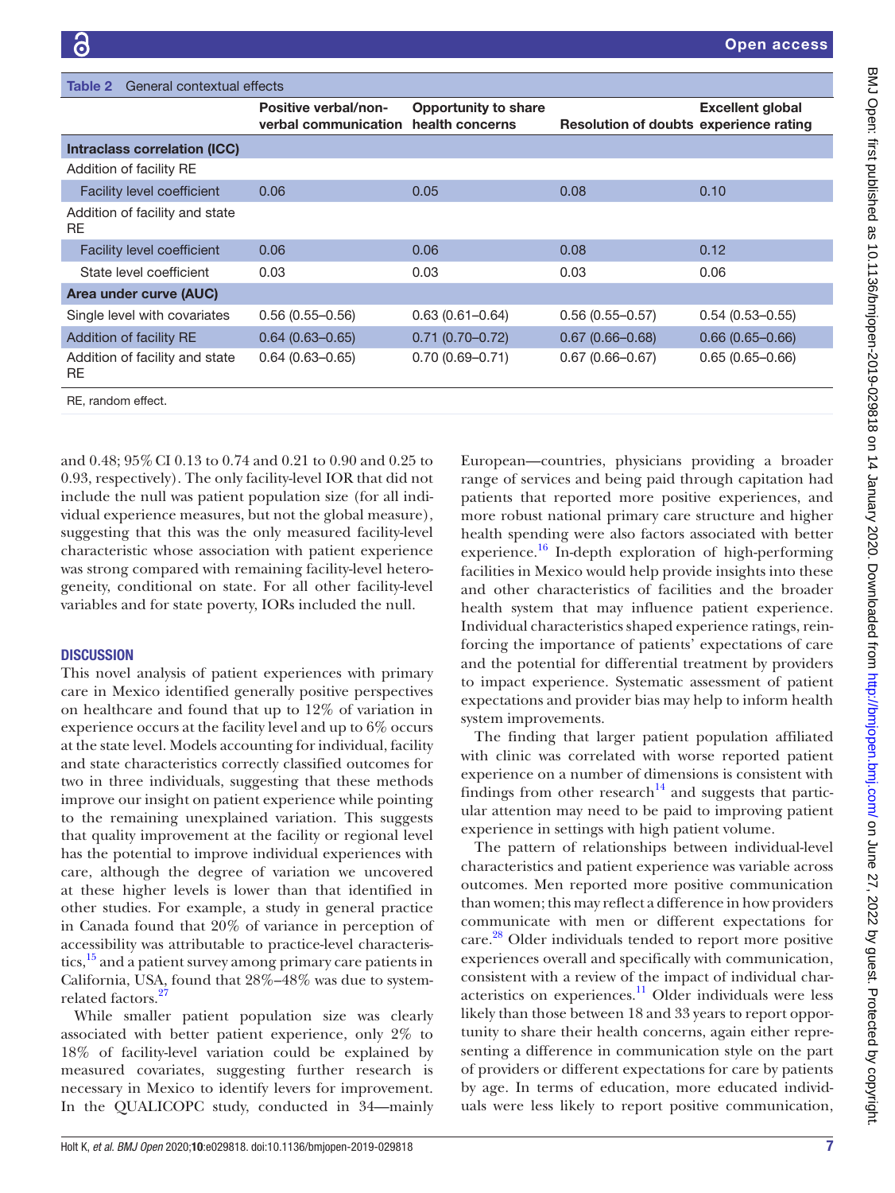<span id="page-6-0"></span>

| Table 2<br>General contextual effects       |                                                     |                                                |                                        |                         |
|---------------------------------------------|-----------------------------------------------------|------------------------------------------------|----------------------------------------|-------------------------|
|                                             | <b>Positive verbal/non-</b><br>verbal communication | <b>Opportunity to share</b><br>health concerns | Resolution of doubts experience rating | <b>Excellent global</b> |
| Intraclass correlation (ICC)                |                                                     |                                                |                                        |                         |
| Addition of facility RE                     |                                                     |                                                |                                        |                         |
| <b>Facility level coefficient</b>           | 0.06                                                | 0.05                                           | 0.08                                   | 0.10                    |
| Addition of facility and state<br><b>RE</b> |                                                     |                                                |                                        |                         |
| <b>Facility level coefficient</b>           | 0.06                                                | 0.06                                           | 0.08                                   | 0.12                    |
| State level coefficient                     | 0.03                                                | 0.03                                           | 0.03                                   | 0.06                    |
| Area under curve (AUC)                      |                                                     |                                                |                                        |                         |
| Single level with covariates                | $0.56(0.55 - 0.56)$                                 | $0.63(0.61 - 0.64)$                            | $0.56(0.55 - 0.57)$                    | $0.54(0.53 - 0.55)$     |
| Addition of facility RE                     | $0.64(0.63 - 0.65)$                                 | $0.71(0.70 - 0.72)$                            | $0.67(0.66 - 0.68)$                    | $0.66(0.65 - 0.66)$     |
| Addition of facility and state<br>RE        | $0.64(0.63 - 0.65)$                                 | $0.70(0.69 - 0.71)$                            | $0.67(0.66 - 0.67)$                    | $0.65(0.65 - 0.66)$     |
|                                             |                                                     |                                                |                                        |                         |

RE, random effect.

and 0.48; 95%CI 0.13 to 0.74 and 0.21 to 0.90 and 0.25 to 0.93, respectively). The only facility-level IOR that did not include the null was patient population size (for all individual experience measures, but not the global measure), suggesting that this was the only measured facility-level characteristic whose association with patient experience was strong compared with remaining facility-level heterogeneity, conditional on state. For all other facility-level variables and for state poverty, IORs included the null.

## **DISCUSSION**

This novel analysis of patient experiences with primary care in Mexico identified generally positive perspectives on healthcare and found that up to 12% of variation in experience occurs at the facility level and up to 6% occurs at the state level. Models accounting for individual, facility and state characteristics correctly classified outcomes for two in three individuals, suggesting that these methods improve our insight on patient experience while pointing to the remaining unexplained variation. This suggests that quality improvement at the facility or regional level has the potential to improve individual experiences with care, although the degree of variation we uncovered at these higher levels is lower than that identified in other studies. For example, a study in general practice in Canada found that 20% of variance in perception of accessibility was attributable to practice-level characteristics,<sup>15</sup> and a patient survey among primary care patients in California, USA, found that 28%–48% was due to systemrelated factors.<sup>27</sup>

While smaller patient population size was clearly associated with better patient experience, only 2% to 18% of facility-level variation could be explained by measured covariates, suggesting further research is necessary in Mexico to identify levers for improvement. In the QUALICOPC study, conducted in 34—mainly

European—countries, physicians providing a broader range of services and being paid through capitation had patients that reported more positive experiences, and more robust national primary care structure and higher health spending were also factors associated with better experience.<sup>16</sup> In-depth exploration of high-performing facilities in Mexico would help provide insights into these and other characteristics of facilities and the broader health system that may influence patient experience. Individual characteristics shaped experience ratings, reinforcing the importance of patients' expectations of care and the potential for differential treatment by providers to impact experience. Systematic assessment of patient expectations and provider bias may help to inform health system improvements.

The finding that larger patient population affiliated with clinic was correlated with worse reported patient experience on a number of dimensions is consistent with findings from other research $^{14}$  and suggests that particular attention may need to be paid to improving patient experience in settings with high patient volume.

The pattern of relationships between individual-level characteristics and patient experience was variable across outcomes. Men reported more positive communication than women; this may reflect a difference in how providers communicate with men or different expectations for care.<sup>28</sup> Older individuals tended to report more positive experiences overall and specifically with communication, consistent with a review of the impact of individual characteristics on experiences.<sup>11</sup> Older individuals were less likely than those between 18 and 33 years to report opportunity to share their health concerns, again either representing a difference in communication style on the part of providers or different expectations for care by patients by age. In terms of education, more educated individuals were less likely to report positive communication,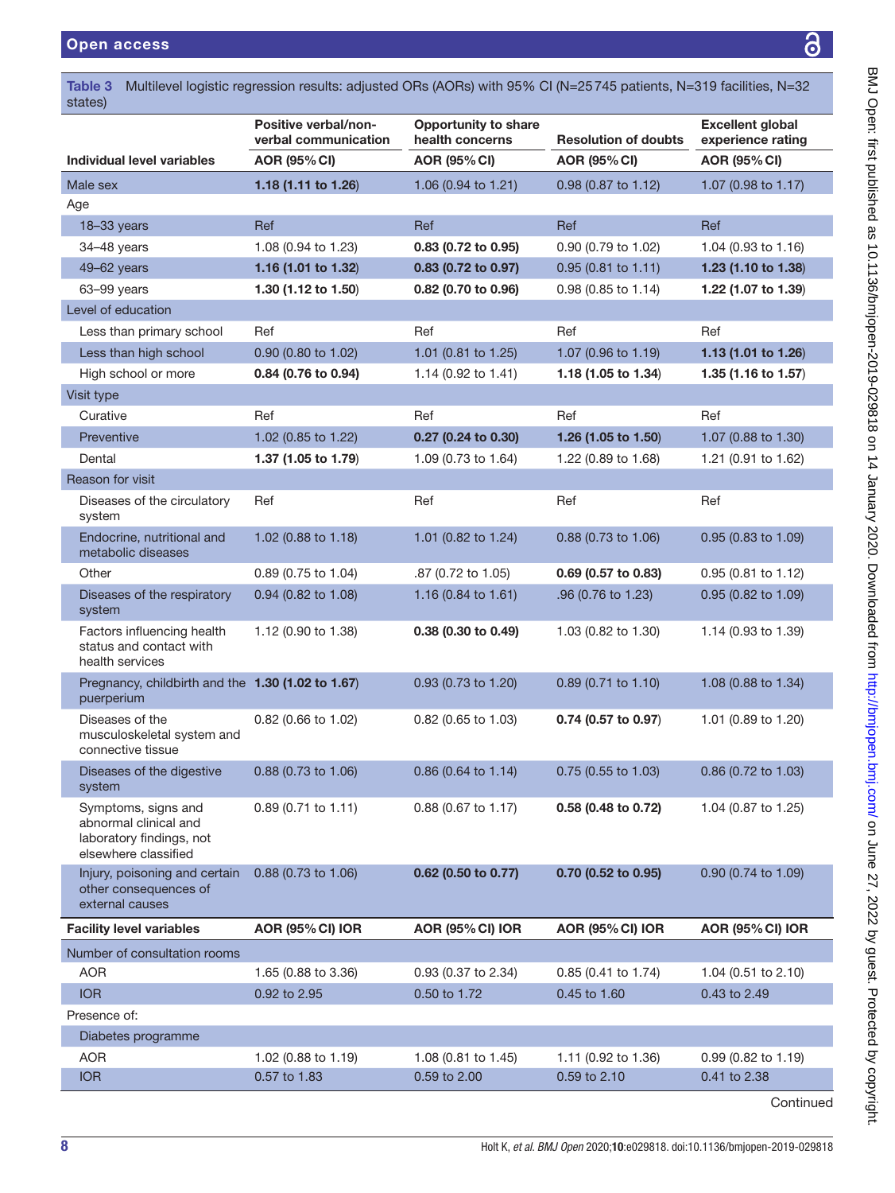BMJ Open: first published as 10.1136/bmjopen-2019-029818 on 14 January 2020. Downloaded from http://bmjopen.bmj.com/ on June 27, 2022 by guest. Protected by copyright. BMJ Open: first published as 10.1136/bmjopen-2019-029818 on 14 January 2020. Downloaded from <http://bmjopen.bmj.com/> on June 27, 2022 by guest. Protected by copyright.

<span id="page-7-0"></span>

| Multilevel logistic regression results: adjusted ORs (AORs) with 95% CI (N=25745 patients, N=319 facilities, N=32<br>Table 3<br>states) |                                                     |                                                |                             |                                              |
|-----------------------------------------------------------------------------------------------------------------------------------------|-----------------------------------------------------|------------------------------------------------|-----------------------------|----------------------------------------------|
|                                                                                                                                         | <b>Positive verbal/non-</b><br>verbal communication | <b>Opportunity to share</b><br>health concerns | <b>Resolution of doubts</b> | <b>Excellent global</b><br>experience rating |
| Individual level variables                                                                                                              | <b>AOR (95% CI)</b>                                 | <b>AOR (95% CI)</b>                            | <b>AOR (95% CI)</b>         | <b>AOR (95% CI)</b>                          |
| Male sex                                                                                                                                | 1.18 (1.11 to 1.26)                                 | 1.06 (0.94 to 1.21)                            | 0.98 (0.87 to 1.12)         | 1.07 (0.98 to 1.17)                          |
| Age                                                                                                                                     |                                                     |                                                |                             |                                              |
| 18-33 years                                                                                                                             | Ref                                                 | Ref                                            | Ref                         | Ref                                          |
| $34-48$ years                                                                                                                           | 1.08 (0.94 to 1.23)                                 | 0.83 (0.72 to 0.95)                            | 0.90 (0.79 to 1.02)         | 1.04 (0.93 to 1.16)                          |
| 49-62 years                                                                                                                             | 1.16 (1.01 to 1.32)                                 | 0.83 (0.72 to 0.97)                            | 0.95 (0.81 to 1.11)         | 1.23 (1.10 to 1.38)                          |
| 63-99 years                                                                                                                             | 1.30 (1.12 to 1.50)                                 | 0.82 (0.70 to 0.96)                            | 0.98 (0.85 to 1.14)         | 1.22 (1.07 to 1.39)                          |
| Level of education                                                                                                                      |                                                     |                                                |                             |                                              |
| Less than primary school                                                                                                                | Ref                                                 | Ref                                            | Ref                         | Ref                                          |
| Less than high school                                                                                                                   | 0.90 (0.80 to 1.02)                                 | 1.01 (0.81 to 1.25)                            | 1.07 (0.96 to 1.19)         | 1.13 (1.01 to 1.26)                          |
| High school or more                                                                                                                     | 0.84 (0.76 to 0.94)                                 | 1.14 (0.92 to 1.41)                            | 1.18 (1.05 to 1.34)         | 1.35 $(1.16 \text{ to } 1.57)$               |
| Visit type                                                                                                                              |                                                     |                                                |                             |                                              |
| Curative                                                                                                                                | Ref                                                 | Ref                                            | Ref                         | Ref                                          |
| Preventive                                                                                                                              | 1.02 (0.85 to 1.22)                                 | 0.27 (0.24 to 0.30)                            | 1.26 (1.05 to 1.50)         | 1.07 (0.88 to 1.30)                          |
| Dental                                                                                                                                  | 1.37 (1.05 to 1.79)                                 | 1.09 (0.73 to 1.64)                            | 1.22 (0.89 to 1.68)         | 1.21 (0.91 to 1.62)                          |
| Reason for visit                                                                                                                        |                                                     |                                                |                             |                                              |
| Diseases of the circulatory<br>system                                                                                                   | Ref                                                 | Ref                                            | Ref                         | Ref                                          |
| Endocrine, nutritional and<br>metabolic diseases                                                                                        | 1.02 (0.88 to 1.18)                                 | 1.01 (0.82 to 1.24)                            | 0.88 (0.73 to 1.06)         | 0.95 (0.83 to 1.09)                          |
| Other                                                                                                                                   | 0.89 (0.75 to 1.04)                                 | .87 (0.72 to 1.05)                             | 0.69 (0.57 to 0.83)         | 0.95 (0.81 to 1.12)                          |
| Diseases of the respiratory<br>system                                                                                                   | 0.94 (0.82 to 1.08)                                 | 1.16 (0.84 to 1.61)                            | .96 (0.76 to 1.23)          | 0.95 (0.82 to 1.09)                          |
| Factors influencing health<br>status and contact with<br>health services                                                                | 1.12 (0.90 to 1.38)                                 | 0.38 (0.30 to 0.49)                            | 1.03 (0.82 to 1.30)         | 1.14 (0.93 to 1.39)                          |
| Pregnancy, childbirth and the 1.30 (1.02 to 1.67)<br>puerperium                                                                         |                                                     | 0.93 (0.73 to 1.20)                            | 0.89 (0.71 to 1.10)         | 1.08 (0.88 to 1.34)                          |
| Diseases of the<br>musculoskeletal system and<br>connective tissue                                                                      | 0.82 (0.66 to 1.02)                                 | 0.82 (0.65 to 1.03)                            | 0.74 (0.57 to 0.97)         | 1.01 (0.89 to 1.20)                          |
| Diseases of the digestive<br>system                                                                                                     | 0.88 (0.73 to 1.06)                                 | 0.86 (0.64 to 1.14)                            | 0.75 (0.55 to 1.03)         | 0.86 (0.72 to 1.03)                          |
| Symptoms, signs and<br>abnormal clinical and<br>laboratory findings, not<br>elsewhere classified                                        | 0.89 (0.71 to 1.11)                                 | 0.88 (0.67 to 1.17)                            | 0.58 (0.48 to 0.72)         | 1.04 (0.87 to 1.25)                          |
| Injury, poisoning and certain<br>other consequences of<br>external causes                                                               | 0.88 (0.73 to 1.06)                                 | 0.62 (0.50 to 0.77)                            | 0.70 (0.52 to 0.95)         | 0.90 (0.74 to 1.09)                          |
| <b>Facility level variables</b>                                                                                                         | <b>AOR (95% CI) IOR</b>                             | <b>AOR (95% CI) IOR</b>                        | <b>AOR (95% CI) IOR</b>     | <b>AOR (95% CI) IOR</b>                      |
| Number of consultation rooms                                                                                                            |                                                     |                                                |                             |                                              |
| <b>AOR</b>                                                                                                                              | 1.65 (0.88 to 3.36)                                 | 0.93 (0.37 to 2.34)                            | 0.85 (0.41 to 1.74)         | 1.04 (0.51 to 2.10)                          |
| <b>IOR</b>                                                                                                                              | 0.92 to 2.95                                        | 0.50 to 1.72                                   | 0.45 to 1.60                | 0.43 to 2.49                                 |
| Presence of:                                                                                                                            |                                                     |                                                |                             |                                              |
| Diabetes programme                                                                                                                      |                                                     |                                                |                             |                                              |
| <b>AOR</b>                                                                                                                              | 1.02 (0.88 to 1.19)                                 | 1.08 (0.81 to 1.45)                            | 1.11 (0.92 to 1.36)         | 0.99 (0.82 to 1.19)                          |
| <b>IOR</b>                                                                                                                              | 0.57 to 1.83                                        | 0.59 to 2.00                                   | 0.59 to 2.10                | 0.41 to 2.38                                 |
|                                                                                                                                         |                                                     |                                                |                             |                                              |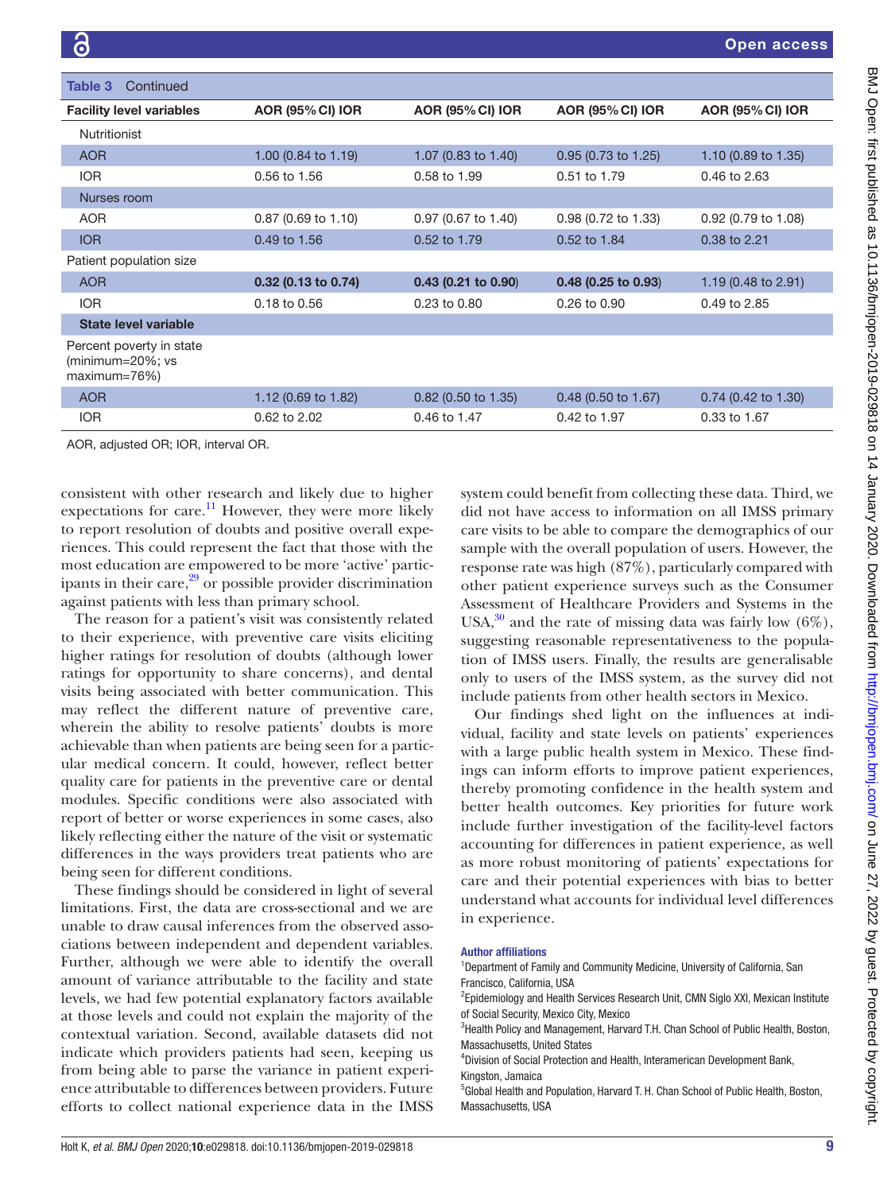| Table 3<br>Continued                                           |                         |                                |                         |                                |
|----------------------------------------------------------------|-------------------------|--------------------------------|-------------------------|--------------------------------|
| <b>Facility level variables</b>                                | <b>AOR (95% CI) IOR</b> | <b>AOR (95% CI) IOR</b>        | <b>AOR (95% CI) IOR</b> | <b>AOR (95% CI) IOR</b>        |
| <b>Nutritionist</b>                                            |                         |                                |                         |                                |
| <b>AOR</b>                                                     | 1.00 (0.84 to 1.19)     | 1.07 $(0.83 \text{ to } 1.40)$ | $0.95$ (0.73 to 1.25)   | 1.10 $(0.89 \text{ to } 1.35)$ |
| <b>IOR</b>                                                     | 0.56 to 1.56            | 0.58 to 1.99                   | 0.51 to 1.79            | 0.46 to 2.63                   |
| Nurses room                                                    |                         |                                |                         |                                |
| <b>AOR</b>                                                     | 0.87 (0.69 to 1.10)     | 0.97 (0.67 to 1.40)            | 0.98 (0.72 to 1.33)     | 0.92 (0.79 to 1.08)            |
| <b>IOR</b>                                                     | 0.49 to 1.56            | 0.52 to 1.79                   | 0.52 to 1.84            | 0.38 to 2.21                   |
| Patient population size                                        |                         |                                |                         |                                |
| <b>AOR</b>                                                     | 0.32 (0.13 to 0.74)     | $0.43(0.21)$ to $0.90$         | 0.48 (0.25 to 0.93)     | 1.19 (0.48 to 2.91)            |
| <b>IOR</b>                                                     | $0.18$ to $0.56$        | 0.23 to 0.80                   | $0.26$ to $0.90$        | 0.49 to 2.85                   |
| <b>State level variable</b>                                    |                         |                                |                         |                                |
| Percent poverty in state<br>(minimum=20%; vs<br>$maximum=76\%$ |                         |                                |                         |                                |
| <b>AOR</b>                                                     | 1.12 (0.69 to 1.82)     | $0.82$ (0.50 to 1.35)          | $0.48$ (0.50 to 1.67)   | $0.74$ (0.42 to 1.30)          |
| <b>IOR</b>                                                     | 0.62 to 2.02            | 0.46 to 1.47                   | 0.42 to 1.97            | 0.33 to 1.67                   |

AOR, adjusted OR; IOR, interval OR.

consistent with other research and likely due to higher expectations for care.<sup>11</sup> However, they were more likely to report resolution of doubts and positive overall experiences. This could represent the fact that those with the most education are empowered to be more 'active' participants in their care, $29$  or possible provider discrimination against patients with less than primary school.

The reason for a patient's visit was consistently related to their experience, with preventive care visits eliciting higher ratings for resolution of doubts (although lower ratings for opportunity to share concerns), and dental visits being associated with better communication. This may reflect the different nature of preventive care, wherein the ability to resolve patients' doubts is more achievable than when patients are being seen for a particular medical concern. It could, however, reflect better quality care for patients in the preventive care or dental modules. Specific conditions were also associated with report of better or worse experiences in some cases, also likely reflecting either the nature of the visit or systematic differences in the ways providers treat patients who are being seen for different conditions.

These findings should be considered in light of several limitations. First, the data are cross-sectional and we are unable to draw causal inferences from the observed associations between independent and dependent variables. Further, although we were able to identify the overall amount of variance attributable to the facility and state levels, we had few potential explanatory factors available at those levels and could not explain the majority of the contextual variation. Second, available datasets did not indicate which providers patients had seen, keeping us from being able to parse the variance in patient experience attributable to differences between providers. Future efforts to collect national experience data in the IMSS system could benefit from collecting these data. Third, we did not have access to information on all IMSS primary care visits to be able to compare the demographics of our sample with the overall population of users. However, the response rate was high (87%), particularly compared with other patient experience surveys such as the Consumer Assessment of Healthcare Providers and Systems in the USA, $30$  and the rate of missing data was fairly low (6%), suggesting reasonable representativeness to the population of IMSS users. Finally, the results are generalisable only to users of the IMSS system, as the survey did not include patients from other health sectors in Mexico.

Our findings shed light on the influences at individual, facility and state levels on patients' experiences with a large public health system in Mexico. These findings can inform efforts to improve patient experiences, thereby promoting confidence in the health system and better health outcomes. Key priorities for future work include further investigation of the facility-level factors accounting for differences in patient experience, as well as more robust monitoring of patients' expectations for care and their potential experiences with bias to better understand what accounts for individual level differences in experience.

#### Author affiliations

<sup>1</sup>Department of Family and Community Medicine, University of California, San Francisco, California, USA

<sup>2</sup>Epidemiology and Health Services Research Unit, CMN Siglo XXI, Mexican Institute of Social Security, Mexico City, Mexico

<sup>3</sup> Health Policy and Management, Harvard T.H. Chan School of Public Health, Boston, Massachusetts, United States

4 Division of Social Protection and Health, Interamerican Development Bank, Kingston, Jamaica

<sup>5</sup>Global Health and Population, Harvard T. H. Chan School of Public Health, Boston, Massachusetts, USA